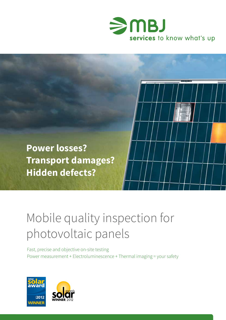



# Mobile quality inspection for photovoltaic panels

Fast, precise and objective on-site testing Power measurement + Electroluminescence + Thermal imaging = your safety



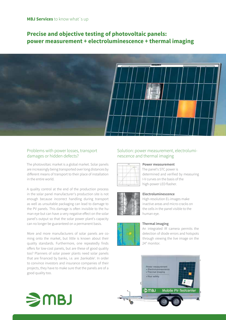# **Precise and objective testing of photovoltaic panels: power measurement + electroluminescence + thermal imaging**



# Problems with power losses, transport damages or hidden defects?

The photovoltaic market is a global market. Solar panels are increasingly being transported over long distances by different means of transport to their place of installation in the entire world.

A quality control at the end of the production process in the solar panel manufacturer's production site is not enough because incorrect handling during transport as well as unsuitable packaging can lead to damage to the PV panels. This damage is often invisible to the human eye but can have a very negative effect on the solar panel's output so that the solar power plant's capacity can no longer be guaranteed on a permanent basis.

More and more manufacturers of solar panels are coming onto the market, but little is known about their quality standards. Furthermore, one repeatedly finds offers for low-cost panels, but are these of good quality too? Planners of solar power plants need solar panels that are financed by banks, i.e. are ,bankable'. In order to convince investors and insurance companies of their projects, they have to make sure that the panels are of a good quality too.

# Solution: power measurement, electroluminescence and thermal imaging



#### **Power measurement**

The panel's STC power is determined and verified by measuring I-V curves on the basis of the high-power LED flasher.



#### **Electroluminescence**

High-resolution EL-images make inactive areas and micro-cracks on the cells in the panel visible to the human eye.

#### **Thermal imaging**



An integrated IR camera permits the detection of diode errors and hotspots through viewing the live image on the



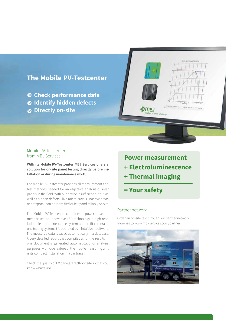

# Mobile PV-Testcenter from MBJ Services

**With its Mobile PV-Testcenter MBJ Services offers a solution for on-site panel testing directly before installation or during maintenance work.**

The Mobile PV-Testcenter provides all measurement and test methods needed for an objective analysis of solar panels in the field. With our device insufficient output as well as hidden defects - like micro-cracks, inactive areas or hotspots - can be identified quickly and reliably on site.

The Mobile PV-Testcenter combines a power measurement based on innovative LED technology, a high-resolution electroluminescence system and an IR camera in one testing system. It is operated by – intuitive – software. The measured data is saved automatically in a database. A very detailed report that compiles all of the results in one document is generated automatically for analysis purposes. A unique feature of the mobile measuring unit is its compact installation in a car trailer.

Check the quality of PV panels directly on site so that you know what's up!

**Power measurement + Electroluminescence + Thermal imaging** 

**= Your safety** 

# Partner network

Order an on-site test through our partner network. Inquiries to www.mbj-services.com/partner